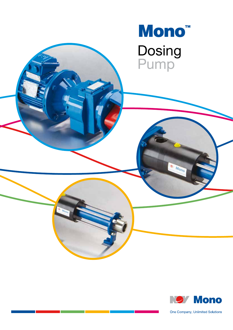

· Mono



One Company, Unlimited Solutions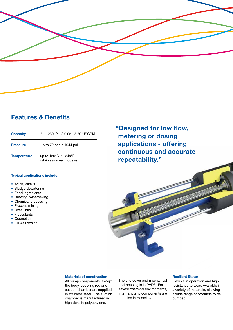

## **Features & Benefits**

| <b>Capacity</b>    | 5 - 1250 I/h / 0.02 - 5.50 USGPM                                     |
|--------------------|----------------------------------------------------------------------|
| <b>Pressure</b>    | up to 72 bar / 1044 psi                                              |
| <b>Temperature</b> | up to $120^{\circ}$ C / 248 $^{\circ}$ F<br>(stainless steel models) |

#### **Typical applications include:**

- Acids, alkalis
- Sludge dewatering
- Food ingredients
- Brewing, winemaking
- Chemical processing
- Process mining
- Dyes, inks
- Flocculants
- Cosmetics
- Oil well dosing

**"Designed for low flow, metering or dosing applications - offering continuous and accurate repeatability."**

#### **Materials of construction**

All pump components, except the body, coupling rod and suction chamber are supplied in stainless steel. The suction chamber is manufactured in high density polyethylene.

The end cover and mechanical seal housing is in PVDF. For severe chemical environments, internal pump components are supplied in Hastelloy.

#### **Resilient Stator**

Flexible in operation and high resistance to wear. Available in a variety of materials, allowing a wide range of products to be pumped.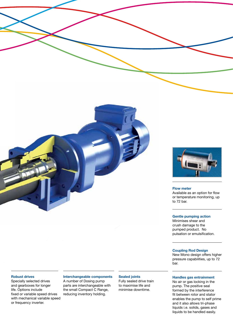

#### **Flow meter**

Available as an option for flow or temperature monitoring, up to 72 bar.

#### **Gentle pumping action**

Minimises shear and crush damage to the pumped product. No pulsation or emulsification.

#### **Coupling Rod Design**

New Mono design offers higher pressure capabilities, up to 72 bar.

#### **Robust drives**

Specially selected drives and gearboxes for longer life. Options include fixed or variable speed drives with mechanical variable speed or frequency inverter.

#### **Interchangeable components**

A number of Dosing pump parts are interchangeable with the small Compact C Range, reducing inventory holding.

#### **Sealed joints**

Fully sealed drive train to maximise life and minimise downtime.

### **Handles gas entrainment**

No air or gas locking in the pump. The positive seal formed by the interference fit between rotor and stator enables the pump to self prime and it also allows tri-phase liquids i.e. solids, gases and liquids to be handled easily.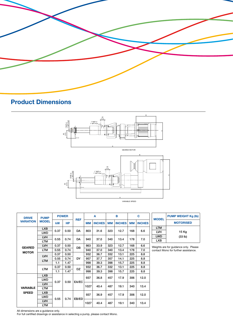

# **Product Dimensions**



| <b>DRIVE</b> |                  | <b>PUMP</b><br><b>MODEL</b> | <b>POWER</b>        |           |            | A    |               | в    |               | C    |               | <b>MODEL</b>                          | <b>PUMP WEIGHT Kg (lb)</b> |
|--------------|------------------|-----------------------------|---------------------|-----------|------------|------|---------------|------|---------------|------|---------------|---------------------------------------|----------------------------|
|              | <b>VARIATION</b> |                             | kW                  | <b>HP</b> | <b>REF</b> | MМ   | <b>INCHES</b> | MМ   | <b>INCHES</b> | MМ   | <b>INCHES</b> |                                       | <b>MOTORISED</b>           |
|              |                  | <b>LXB</b>                  |                     | 0.50      | <b>DA</b>  | 803  | 31.6          | 323  | 12.7          | 168  | 6.6           | <b>LTM</b>                            |                            |
|              |                  | <b>LWD</b>                  | 0.37                |           |            |      |               |      |               |      |               | <b>LVH</b>                            | 15 Kg                      |
|              |                  | LVH                         |                     |           |            |      |               |      | 13.4          | 178  | 7.0           | <b>LWD</b>                            | (33 lb)                    |
|              |                  | 0.55<br><b>LTM</b>          |                     | 0.74      | <b>DA</b>  | 940  | 37.0          | 340  |               |      |               | <b>LXB</b>                            |                            |
|              | <b>GEARED</b>    | <b>LVH</b>                  | 0.37                | 0.50      | <b>DB</b>  | 863  | 33.9          | 323  | 12.7          | 168  | 6.6           | Weights are for guidance only. Please |                            |
|              |                  | <b>LTM</b>                  | 0.55                | 0.74      |            | 940  | 37.0          | 340  | 13.4          | 178  | 7.0           | contact Mono for further assistance.  |                            |
|              | <b>MOTOR</b>     | <b>LVH</b><br><b>LTM</b>    | 0.37                | 0.50      | DY         | 932  | 36.7          | 332  | 13.1          | 225  | 8.8           |                                       |                            |
|              |                  |                             | 0.55                | 0.74      |            | 957  | 37.7          | 357  | 14.1          | 225  | 8.8           |                                       |                            |
|              |                  |                             | 1.1                 | 1.47      |            | 998  | 39.3          | 398  | 15.7          | 225  | 8.8           |                                       |                            |
|              |                  | <b>LTM</b>                  | 0.37                | 0.50      | <b>DZ</b>  | 932  | 36.7          | 332  | 13.1          | 225  | 8.8           |                                       |                            |
| <b>SPEED</b> |                  |                             | 1.1                 | 1.47      |            | 998  | 39.3          | 398  | 15.7          | 225  | 8.8           |                                       |                            |
|              |                  | <b>LXB</b>                  |                     |           | EA/EC      | 937  | 36.8          | 457  | 17.9          | 306  | 12.0          |                                       |                            |
|              |                  | LWD                         | 0.37<br>0.50        |           |            |      |               |      |               |      |               |                                       |                            |
|              |                  | <b>LVH</b>                  |                     |           |            | 1027 | 40.4          | 487  | 19.1          | 340  | 13.4          |                                       |                            |
|              | <b>VARIABLE</b>  | <b>LTM</b>                  |                     |           |            |      |               |      |               |      |               |                                       |                            |
|              |                  | LXB                         | 0.74<br>0.55<br>LVH |           | 937        | 36.9 | 457           | 17.9 | 306           | 12.0 |               |                                       |                            |
|              |                  | <b>LWD</b>                  |                     |           | EB/ED      |      |               |      |               |      |               |                                       |                            |
|              |                  |                             |                     |           |            | 1027 | 40.4          | 487  | 19.1          | 340  | 13.4          |                                       |                            |
|              |                  | <b>LTM</b>                  |                     |           |            |      |               |      |               |      |               |                                       |                            |

All dimensions are a guidance only.

For full certified drawings or assistance in selecting a pump, please contact Mono.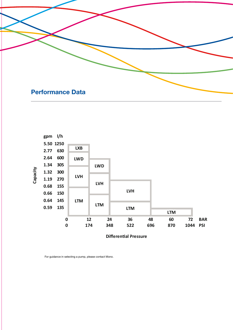



For guidance in selecting a pump, please contact Mono.